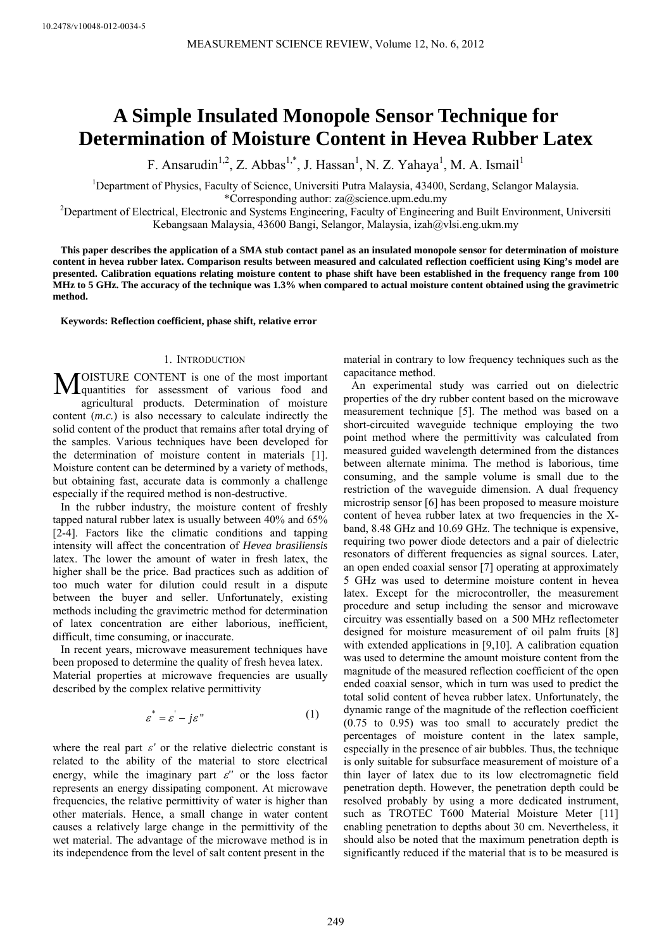# **A Simple Insulated Monopole Sensor Technique for Determination of Moisture Content in Hevea Rubber Latex**

F. Ansarudin<sup>1,2</sup>, Z. Abbas<sup>1,\*</sup>, J. Hassan<sup>1</sup>, N. Z. Yahaya<sup>1</sup>, M. A. Ismail<sup>1</sup>

<sup>1</sup>Department of Physics, Faculty of Science, Universiti Putra Malaysia, 43400, Serdang, Selangor Malaysia. \*Corresponding author: za@science.upm.edu.my 2

Department of Electrical, Electronic and Systems Engineering, Faculty of Engineering and Built Environment, Universiti Kebangsaan Malaysia, 43600 Bangi, Selangor, Malaysia, izah@vlsi.eng.ukm.my

**This paper describes the application of a SMA stub contact panel as an insulated monopole sensor for determination of moisture content in hevea rubber latex. Comparison results between measured and calculated reflection coefficient using King's model are presented. Calibration equations relating moisture content to phase shift have been established in the frequency range from 100 MHz to 5 GHz. The accuracy of the technique was 1.3% when compared to actual moisture content obtained using the gravimetric method.** 

**Keywords: Reflection coefficient, phase shift, relative error** 

# 1. INTRODUCTION

OISTURE CONTENT is one of the most important **MOISTURE CONTENT** is one of the most important quantities for assessment of various food and agricultural products. Determination of moisture content (*m.c.*) is also necessary to calculate indirectly the solid content of the product that remains after total drying of the samples. Various techniques have been developed for the determination of moisture content in materials [1]. Moisture content can be determined by a variety of methods, but obtaining fast, accurate data is commonly a challenge especially if the required method is non-destructive.

In the rubber industry, the moisture content of freshly tapped natural rubber latex is usually between 40% and 65% [2-4]. Factors like the climatic conditions and tapping intensity will affect the concentration of *Hevea brasiliensis* latex. The lower the amount of water in fresh latex, the higher shall be the price. Bad practices such as addition of too much water for dilution could result in a dispute between the buyer and seller. Unfortunately, existing methods including the gravimetric method for determination of latex concentration are either laborious, inefficient, difficult, time consuming, or inaccurate.

In recent years, microwave measurement techniques have been proposed to determine the quality of fresh hevea latex. Material properties at microwave frequencies are usually described by the complex relative permittivity

$$
\varepsilon^* = \varepsilon' - j\varepsilon'' \tag{1}
$$

where the real part  $\varepsilon'$  or the relative dielectric constant is related to the ability of the material to store electrical energy, while the imaginary part  $\varepsilon$ " or the loss factor represents an energy dissipating component. At microwave frequencies, the relative permittivity of water is higher than other materials. Hence, a small change in water content causes a relatively large change in the permittivity of the wet material. The advantage of the microwave method is in its independence from the level of salt content present in the

material in contrary to low frequency techniques such as the capacitance method.

An experimental study was carried out on dielectric properties of the dry rubber content based on the microwave measurement technique [5]. The method was based on a short-circuited waveguide technique employing the two point method where the permittivity was calculated from measured guided wavelength determined from the distances between alternate minima. The method is laborious, time consuming, and the sample volume is small due to the restriction of the waveguide dimension. A dual frequency microstrip sensor [6] has been proposed to measure moisture content of hevea rubber latex at two frequencies in the Xband, 8.48 GHz and 10.69 GHz. The technique is expensive, requiring two power diode detectors and a pair of dielectric resonators of different frequencies as signal sources. Later, an open ended coaxial sensor [7] operating at approximately 5 GHz was used to determine moisture content in hevea latex. Except for the microcontroller, the measurement procedure and setup including the sensor and microwave circuitry was essentially based on a 500 MHz reflectometer designed for moisture measurement of oil palm fruits [8] with extended applications in [9,10]. A calibration equation was used to determine the amount moisture content from the magnitude of the measured reflection coefficient of the open ended coaxial sensor, which in turn was used to predict the total solid content of hevea rubber latex. Unfortunately, the dynamic range of the magnitude of the reflection coefficient (0.75 to 0.95) was too small to accurately predict the percentages of moisture content in the latex sample, especially in the presence of air bubbles. Thus, the technique is only suitable for subsurface measurement of moisture of a thin layer of latex due to its low electromagnetic field penetration depth. However, the penetration depth could be resolved probably by using a more dedicated instrument, such as TROTEC T600 Material Moisture Meter [11] enabling penetration to depths about 30 cm. Nevertheless, it should also be noted that the maximum penetration depth is significantly reduced if the material that is to be measured is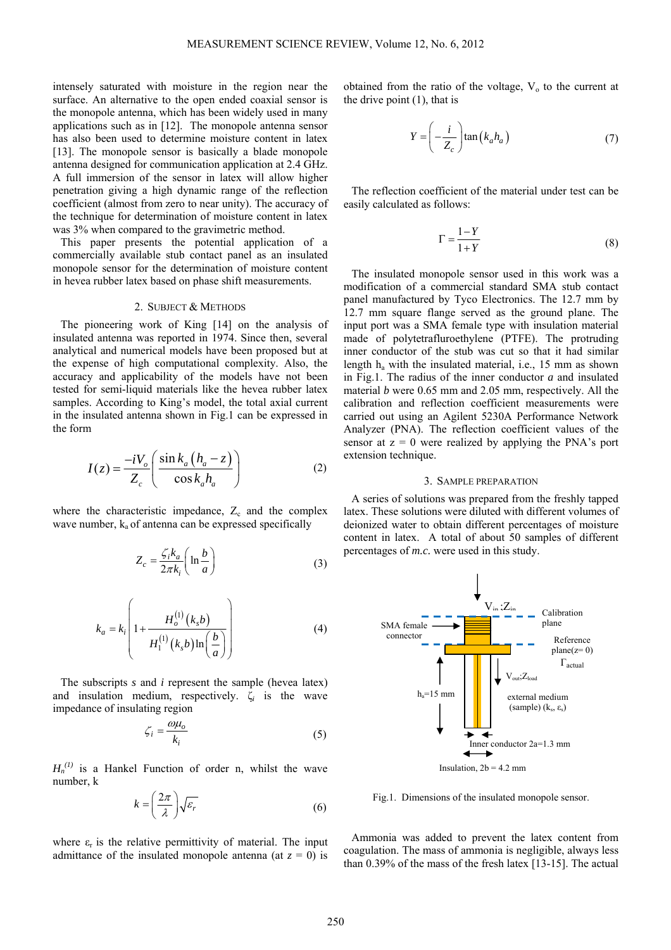intensely saturated with moisture in the region near the surface. An alternative to the open ended coaxial sensor is the monopole antenna, which has been widely used in many applications such as in [12]. The monopole antenna sensor has also been used to determine moisture content in latex [13]. The monopole sensor is basically a blade monopole antenna designed for communication application at 2.4 GHz. A full immersion of the sensor in latex will allow higher penetration giving a high dynamic range of the reflection coefficient (almost from zero to near unity). The accuracy of the technique for determination of moisture content in latex was  $3\%$  when compared to the gravimetric method.

This paper presents the potential application of a commercially available stub contact panel as an insulated monopole sensor for the determination of moisture content in hevea rubber latex based on phase shift measurements.

## 2. SUBJECT & METHODS

The pioneering work of King [14] on the analysis of insulated antenna was reported in 1974. Since then, several analytical and numerical models have been proposed but at the expense of high computational complexity. Also, the accuracy and applicability of the models have not been tested for semi-liquid materials like the hevea rubber latex samples. According to King's model, the total axial current in the insulated antenna shown in Fig.1 can be expressed in the form

$$
I(z) = \frac{-iV_o}{Z_c} \left( \frac{\sin k_a (h_a - z)}{\cos k_a h_a} \right)
$$
 (2)

where the characteristic impedance,  $Z_c$  and the complex wave number,  $k_a$  of antenna can be expressed specifically

$$
Z_c = \frac{\zeta_i k_a}{2\pi k_i} \left( \ln \frac{b}{a} \right) \tag{3}
$$

$$
k_a = k_i \left( 1 + \frac{H_o^{(1)}(k_b)}{H_1^{(1)}(k_b) \ln\left(\frac{b}{a}\right)} \right)
$$
 (4)

The subscripts *s* and *i* represent the sample (hevea latex) and insulation medium, respectively. ζ*i* is the wave impedance of insulating region

$$
\zeta_i = \frac{\omega \mu_o}{k_i} \tag{5}
$$

 $H_n^{(1)}$  is a Hankel Function of order n, whilst the wave number, k

$$
k = \left(\frac{2\pi}{\lambda}\right)\sqrt{\varepsilon_r} \tag{6}
$$

where  $\varepsilon_r$  is the relative permittivity of material. The input admittance of the insulated monopole antenna (at  $z = 0$ ) is obtained from the ratio of the voltage,  $V<sub>o</sub>$  to the current at the drive point (1), that is

$$
Y = \left(-\frac{i}{Z_c}\right) \tan\left(k_a h_a\right) \tag{7}
$$

The reflection coefficient of the material under test can be easily calculated as follows:

$$
\Gamma = \frac{1 - Y}{1 + Y} \tag{8}
$$

The insulated monopole sensor used in this work was a modification of a commercial standard SMA stub contact panel manufactured by Tyco Electronics. The 12.7 mm by 12.7 mm square flange served as the ground plane. The input port was a SMA female type with insulation material made of polytetrafluroethylene (PTFE). The protruding inner conductor of the stub was cut so that it had similar length ha with the insulated material, i.e., 15 mm as shown in Fig.1. The radius of the inner conductor *a* and insulated material *b* were 0.65 mm and 2.05 mm, respectively. All the calibration and reflection coefficient measurements were carried out using an Agilent 5230A Performance Network Analyzer (PNA). The reflection coefficient values of the sensor at  $z = 0$  were realized by applying the PNA's port extension technique.

### 3. SAMPLE PREPARATION

A series of solutions was prepared from the freshly tapped latex. These solutions were diluted with different volumes of deionized water to obtain different percentages of moisture content in latex. A total of about 50 samples of different percentages of *m.c.* were used in this study.



Fig.1. Dimensions of the insulated monopole sensor.

Ammonia was added to prevent the latex content from coagulation. The mass of ammonia is negligible, always less than 0.39% of the mass of the fresh latex [13-15]. The actual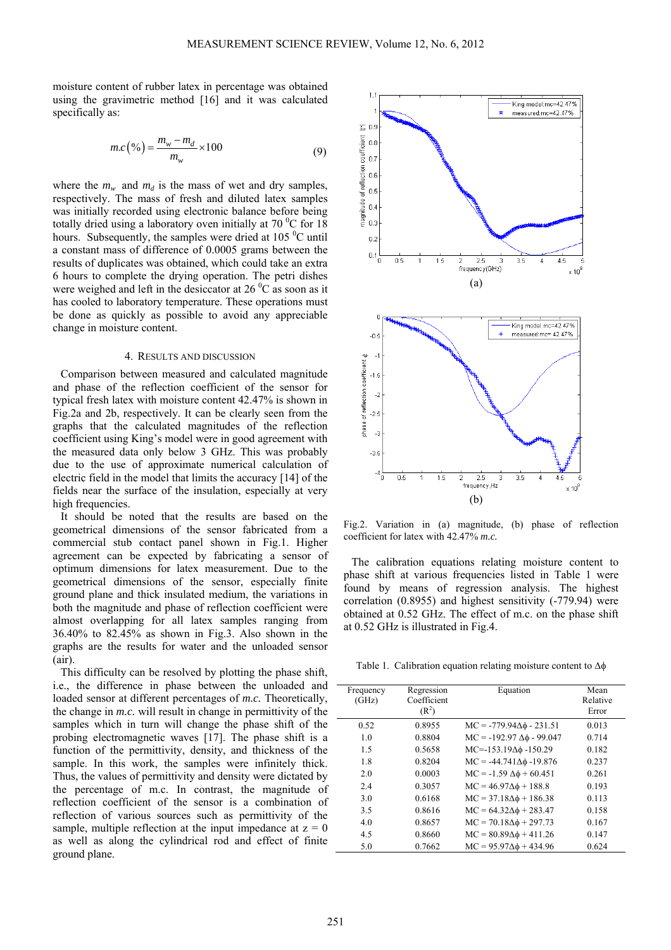moisture content of rubber latex in percentage was obtained using the gravimetric method [16] and it was calculated specifically as:

$$
m.c\left(\frac{\alpha_{0}}{m}\right) = \frac{m_{w} - m_{d}}{m_{w}} \times 100\tag{9}
$$

where the  $m_w$  and  $m_d$  is the mass of wet and dry samples, respectively. The mass of fresh and diluted latex samples was initially recorded using electronic balance before being totally dried using a laboratory oven initially at 70 $\mathrm{^{0}C}$  for 18 hours. Subsequently, the samples were dried at  $105<sup>0</sup>C$  until a constant mass of difference of 0.0005 grams between the results of duplicates was obtained, which could take an extra 6 hours to complete the drying operation. The petri dishes were weighed and left in the desiccator at  $26\,^0\text{C}$  as soon as it has cooled to laboratory temperature. These operations must be done as quickly as possible to avoid any appreciable change in moisture content.

#### 4. RESULTS AND DISCUSSION

Comparison between measured and calculated magnitude and phase of the reflection coefficient of the sensor for typical fresh latex with moisture content 42.47% is shown in Fig.2a and 2b, respectively. It can be clearly seen from the graphs that the calculated magnitudes of the reflection coefficient using King's model were in good agreement with the measured data only below 3 GHz. This was probably due to the use of approximate numerical calculation of electric field in the model that limits the accuracy [14] of the fields near the surface of the insulation, especially at very high frequencies.

It should be noted that the results are based on the geometrical dimensions of the sensor fabricated from a commercial stub contact panel shown in Fig.1. Higher agreement can be expected by fabricating a sensor of optimum dimensions for latex measurement. Due to the geometrical dimensions of the sensor, especially finite ground plane and thick insulated medium, the variations in both the magnitude and phase of reflection coefficient were almost overlapping for all latex samples ranging from 36.40% to 82.45% as shown in Fig.3. Also shown in the graphs are the results for water and the unloaded sensor (air).

This difficulty can be resolved by plotting the phase shift, i.e., the difference in phase between the unloaded and loaded sensor at different percentages of *m.c.* Theoretically, the change in *m.c.* will result in change in permittivity of the samples which in turn will change the phase shift of the probing electromagnetic waves [17]. The phase shift is a function of the permittivity, density, and thickness of the sample. In this work, the samples were infinitely thick. Thus, the values of permittivity and density were dictated by the percentage of m.c. In contrast, the magnitude of reflection coefficient of the sensor is a combination of reflection of various sources such as permittivity of the sample, multiple reflection at the input impedance at  $z = 0$ as well as along the cylindrical rod and effect of finite ground plane.



Fig.2. Variation in (a) magnitude, (b) phase of reflection coefficient for latex with 42.47% *m.c.*

The calibration equations relating moisture content to phase shift at various frequencies listed in Table 1 were found by means of regression analysis. The highest correlation (0.8955) and highest sensitivity (-779.94) were obtained at 0.52 GHz. The effect of m.c. on the phase shift at 0.52 GHz is illustrated in Fig.4.

Table 1. Calibration equation relating moisture content to ∆φ

| Frequency<br>(GHz) | Regression<br>Coefficient<br>(R <sup>2</sup> ) | Equation                            | Mean<br>Relative<br>Error |
|--------------------|------------------------------------------------|-------------------------------------|---------------------------|
| 0.52               | 0.8955                                         | $MC = -779.94\Delta\phi - 231.51$   | 0.013                     |
| 1.0                | 0.8804                                         | $MC = -192.97 \Delta \phi - 99.047$ | 0.714                     |
| 1.5                | 0.5658                                         | $MC = -153.19\Delta\phi - 150.29$   | 0.182                     |
| 1.8                | 0.8204                                         | $MC = -44.741\Delta\phi - 19.876$   | 0.237                     |
| 2.0                | 0.0003                                         | $MC = -1.59 \Delta \phi + 60.451$   | 0.261                     |
| 2.4                | 0.3057                                         | $MC = 46.97\Delta\phi + 188.8$      | 0.193                     |
| 3.0                | 0.6168                                         | $MC = 37.18\Delta\phi + 186.38$     | 0.113                     |
| 3.5                | 0.8616                                         | $MC = 64.32\Delta\phi + 283.47$     | 0.158                     |
| 4.0                | 0.8657                                         | $MC = 70.18\Delta\phi + 297.73$     | 0.167                     |
| 4.5                | 0.8660                                         | $MC = 80.89\Delta\phi + 411.26$     | 0.147                     |
| 5.0                | 0.7662                                         | $MC = 95.97\Delta\phi + 434.96$     | 0.624                     |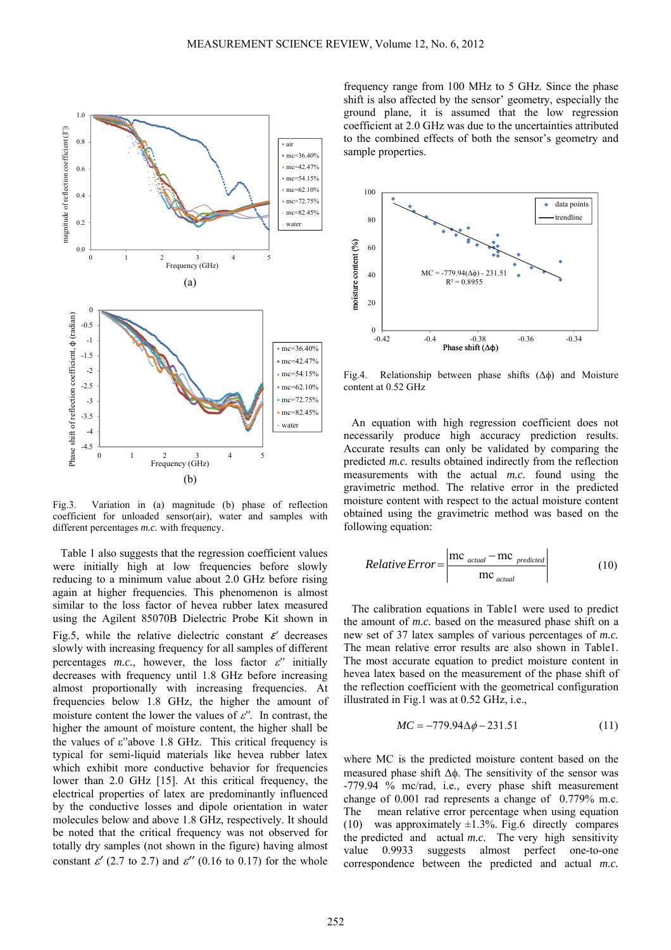![](_page_3_Figure_1.jpeg)

Fig.3. Variation in (a) magnitude (b) phase of reflection coefficient for unloaded sensor(air), water and samples with different percentages *m.c.* with frequency.

Table 1 also suggests that the regression coefficient values were initially high at low frequencies before slowly reducing to a minimum value about 2.0 GHz before rising again at higher frequencies. This phenomenon is almost similar to the loss factor of hevea rubber latex measured using the Agilent 85070B Dielectric Probe Kit shown in Fig.5, while the relative dielectric constant  $\varepsilon'$  decreases slowly with increasing frequency for all samples of different percentages  $m.c.$ , however, the loss factor  $\varepsilon$ <sup>"</sup> initially decreases with frequency until 1.8 GHz before increasing almost proportionally with increasing frequencies. At frequencies below 1.8 GHz, the higher the amount of moisture content the lower the values of  $\varepsilon$ ". In contrast, the higher the amount of moisture content, the higher shall be the values of ε''above 1.8 GHz. This critical frequency is typical for semi-liquid materials like hevea rubber latex which exhibit more conductive behavior for frequencies lower than 2.0 GHz [15]. At this critical frequency, the electrical properties of latex are predominantly influenced by the conductive losses and dipole orientation in water molecules below and above 1.8 GHz, respectively. It should be noted that the critical frequency was not observed for totally dry samples (not shown in the figure) having almost constant  $\varepsilon'$  (2.7 to 2.7) and  $\varepsilon''$  (0.16 to 0.17) for the whole

frequency range from 100 MHz to 5 GHz. Since the phase shift is also affected by the sensor' geometry, especially the ground plane, it is assumed that the low regression coefficient at 2.0 GHz was due to the uncertainties attributed to the combined effects of both the sensor's geometry and sample properties.

![](_page_3_Figure_5.jpeg)

Fig.4. Relationship between phase shifts  $(\Delta \phi)$  and Moisture content at 0.52 GHz

An equation with high regression coefficient does not necessarily produce high accuracy prediction results. Accurate results can only be validated by comparing the predicted *m.c.* results obtained indirectly from the reflection measurements with the actual *m.c.* found using the gravimetric method. The relative error in the predicted moisture content with respect to the actual moisture content obtained using the gravimetric method was based on the following equation:

$$
Relative Error = \left| \frac{\text{mc}_{actual} - \text{mc}_{predicted}}{\text{mc}_{actual}} \right| \tag{10}
$$

The calibration equations in Table1 were used to predict the amount of *m.c.* based on the measured phase shift on a new set of 37 latex samples of various percentages of *m.c.*  The mean relative error results are also shown in Table1. The most accurate equation to predict moisture content in hevea latex based on the measurement of the phase shift of the reflection coefficient with the geometrical configuration illustrated in Fig.1 was at 0.52 GHz, i.e.,

$$
MC = -779.94\Delta\phi - 231.51\tag{11}
$$

where MC is the predicted moisture content based on the measured phase shift Δφ. The sensitivity of the sensor was -779.94 % mc/rad, i.e., every phase shift measurement change of 0.001 rad represents a change of 0.779% m.c. The mean relative error percentage when using equation (10) was approximately  $\pm 1.3\%$ . Fig.6 directly compares the predicted and actual *m.c.* The very high sensitivity value 0.9933 suggests almost perfect one-to-one correspondence between the predicted and actual *m.c.*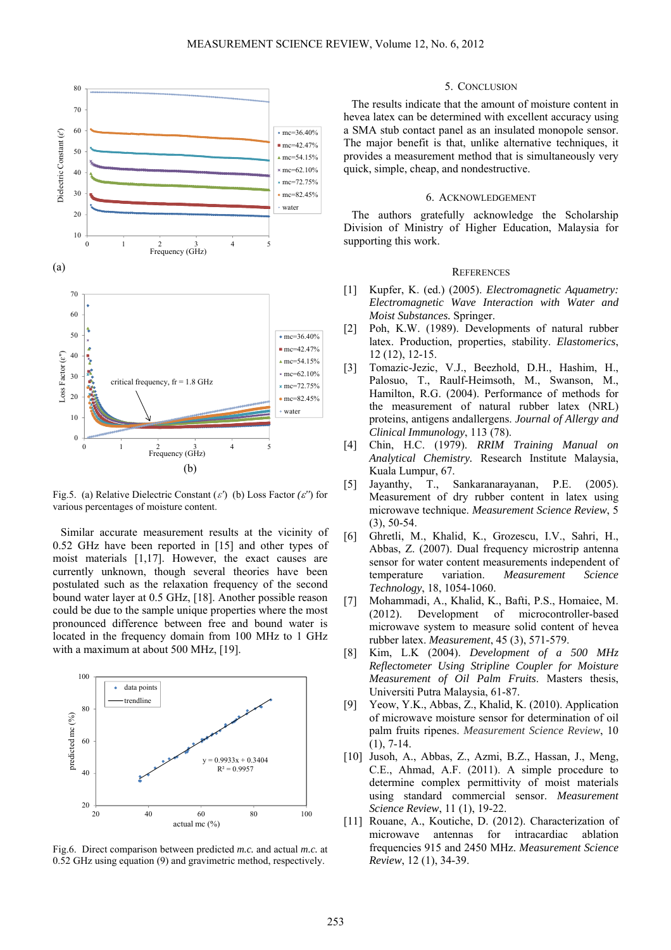![](_page_4_Figure_1.jpeg)

Fig.5. (a) Relative Dielectric Constant  $(\varepsilon)$  (b) Loss Factor  $(\varepsilon')$  for various percentages of moisture content.

Similar accurate measurement results at the vicinity of 0.52 GHz have been reported in [15] and other types of moist materials [1,17]. However, the exact causes are currently unknown, though several theories have been postulated such as the relaxation frequency of the second bound water layer at 0.5 GHz, [18]. Another possible reason could be due to the sample unique properties where the most pronounced difference between free and bound water is located in the frequency domain from 100 MHz to 1 GHz with a maximum at about 500 MHz, [19].

![](_page_4_Figure_4.jpeg)

Fig.6. Direct comparison between predicted *m.c.* and actual *m.c.* at 0.52 GHz using equation (9) and gravimetric method, respectively.

## 5. CONCLUSION

The results indicate that the amount of moisture content in hevea latex can be determined with excellent accuracy using a SMA stub contact panel as an insulated monopole sensor. The major benefit is that, unlike alternative techniques, it provides a measurement method that is simultaneously very quick, simple, cheap, and nondestructive.

# 6. ACKNOWLEDGEMENT

The authors gratefully acknowledge the Scholarship Division of Ministry of Higher Education, Malaysia for supporting this work.

## **REFERENCES**

- [1] Kupfer, K. (ed.) (2005). *Electromagnetic Aquametry: Electromagnetic Wave Interaction with Water and Moist Substances.* Springer.
- [2] Poh, K.W. (1989). Developments of natural rubber latex. Production, properties, stability. *Elastomerics*, 12 (12), 12-15.
- [3] Tomazic-Jezic, V.J., Beezhold, D.H., Hashim, H., Palosuo, T., Raulf-Heimsoth, M., Swanson, M., Hamilton, R.G. (2004). Performance of methods for the measurement of natural rubber latex (NRL) proteins, antigens andallergens. *Journal of Allergy and Clinical Immunology*, 113 (78).
- [4] Chin, H.C. (1979). *RRIM Training Manual on Analytical Chemistry.* Research Institute Malaysia, Kuala Lumpur, 67.
- [5] Jayanthy, T., Sankaranarayanan, P.E. (2005). Measurement of dry rubber content in latex using microwave technique. *Measurement Science Review*, 5 (3), 50-54.
- [6] Ghretli, M., Khalid, K., Grozescu, I.V., Sahri, H., Abbas, Z. (2007). Dual frequency microstrip antenna sensor for water content measurements independent of temperature variation. *Measurement Science Technology*, 18, 1054-1060.
- [7] Mohammadi, A., Khalid, K., Bafti, P.S., Homaiee, M. (2012). Development of microcontroller-based microwave system to measure solid content of hevea rubber latex. *Measurement*, 45 (3), 571-579.
- [8] Kim, L.K (2004). *Development of a 500 MHz Reflectometer Using Stripline Coupler for Moisture Measurement of Oil Palm Fruits*. Masters thesis, Universiti Putra Malaysia, 61-87.
- [9] Yeow, Y.K., Abbas, Z., Khalid, K. (2010). Application of microwave moisture sensor for determination of oil palm fruits ripenes. *Measurement Science Review*, 10  $(1)$ , 7-14.
- [10] Jusoh, A., Abbas, Z., Azmi, B.Z., Hassan, J., Meng, C.E., Ahmad, A.F. (2011). A simple procedure to determine complex permittivity of moist materials using standard commercial sensor. *Measurement Science Review*, 11 (1), 19-22.
- [11] Rouane, A., Koutiche, D. (2012). Characterization of microwave antennas for intracardiac ablation frequencies 915 and 2450 MHz. *Measurement Science Review*, 12 (1), 34-39.